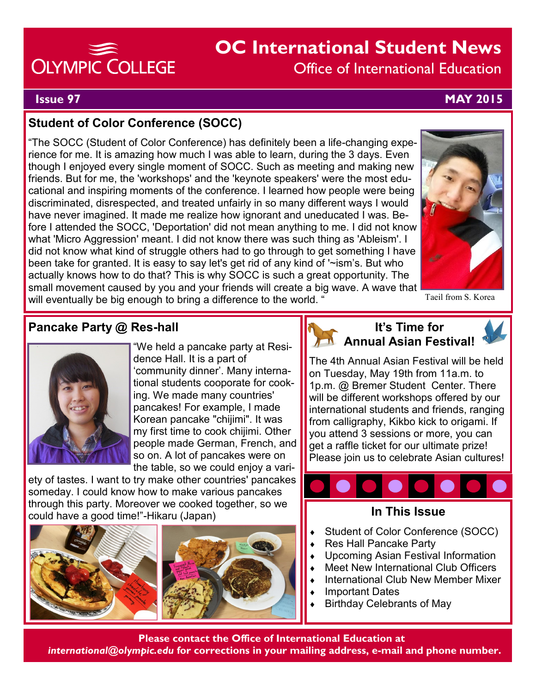# OLYMPIC COLLEGE

# **OC International Student News** Office of International Education

**Issue 97 MAY 2015**

### **Student of Color Conference (SOCC)**

"The SOCC (Student of Color Conference) has definitely been a life-changing experience for me. It is amazing how much I was able to learn, during the 3 days. Even though I enjoyed every single moment of SOCC. Such as meeting and making new friends. But for me, the 'workshops' and the 'keynote speakers' were the most educational and inspiring moments of the conference. I learned how people were being discriminated, disrespected, and treated unfairly in so many different ways I would have never imagined. It made me realize how ignorant and uneducated I was. Before I attended the SOCC, 'Deportation' did not mean anything to me. I did not know what 'Micro Aggression' meant. I did not know there was such thing as 'Ableism'. I did not know what kind of struggle others had to go through to get something I have been take for granted. It is easy to say let's get rid of any kind of '~ism's. But who actually knows how to do that? This is why SOCC is such a great opportunity. The small movement caused by you and your friends will create a big wave. A wave that will eventually be big enough to bring a difference to the world. '



Taeil from S. Korea

### **Pancake Party @ Res-hall**



"We held a pancake party at Residence Hall. It is a part of 'community dinner'. Many international students cooporate for cooking. We made many countries' pancakes! For example, I made Korean pancake "chijimi". It was my first time to cook chijimi. Other people made German, French, and so on. A lot of pancakes were on the table, so we could enjoy a vari-

ety of tastes. I want to try make other countries' pancakes someday. I could know how to make various pancakes through this party. Moreover we cooked together, so we could have a good time!"-Hikaru (Japan) **In This Issue**





#### **It's Time for Annual Asian Festival!**

The 4th Annual Asian Festival will be held on Tuesday, May 19th from 11a.m. to 1p.m. @ Bremer Student Center. There will be different workshops offered by our international students and friends, ranging from calligraphy, Kikbo kick to origami. If you attend 3 sessions or more, you can get a raffle ticket for our ultimate prize! Please join us to celebrate Asian cultures!



- Student of Color Conference (SOCC)
- Res Hall Pancake Party
- Upcoming Asian Festival Information
- Meet New International Club Officers
- International Club New Member Mixer
- Important Dates
- Birthday Celebrants of May

**Please contact the Office of International Education at** *international@olympic.edu* **for corrections in your mailing address, e-mail and phone number.**